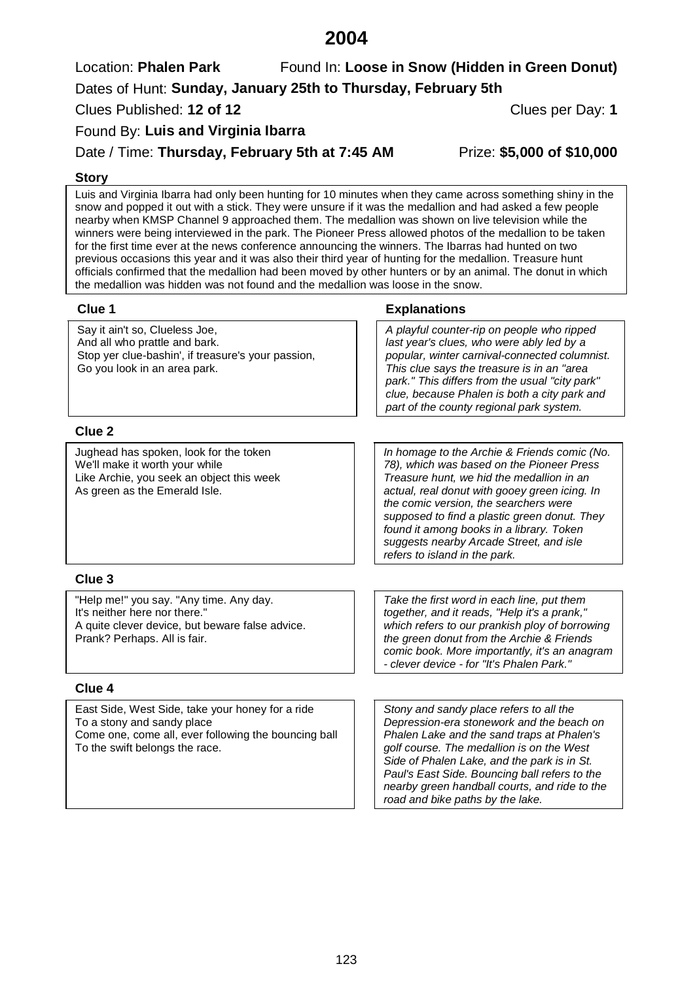# **2004**

Location: **Phalen Park** Found In: Loose in Snow (Hidden in Green Donut) Dates of Hunt: **Sunday, January 25th to Thursday, February 5th** Clues Published: **12 of 12** Clues per Day: **1**

Found By: **Luis and Virginia Ibarra**

Date / Time: **Thursday, February 5th at 7:45 AM** Prize: **\$5,000 of \$10,000**

### **Story**

Luis and Virginia Ibarra had only been hunting for 10 minutes when they came across something shiny in the snow and popped it out with a stick. They were unsure if it was the medallion and had asked a few people nearby when KMSP Channel 9 approached them. The medallion was shown on live television while the winners were being interviewed in the park. The Pioneer Press allowed photos of the medallion to be taken for the first time ever at the news conference announcing the winners. The Ibarras had hunted on two previous occasions this year and it was also their third year of hunting for the medallion. Treasure hunt officials confirmed that the medallion had been moved by other hunters or by an animal. The donut in which the medallion was hidden was not found and the medallion was loose in the snow.

Say it ain't so, Clueless Joe, And all who prattle and bark. Stop yer clue-bashin', if treasure's your passion, Go you look in an area park.

### **Clue 1 Explanations**

*A playful counter-rip on people who ripped last year's clues, who were ably led by a popular, winter carnival-connected columnist. This clue says the treasure is in an "area park.'' This differs from the usual "city park'' clue, because Phalen is both a city park and part of the county regional park system.*

# **Clue 2**

Jughead has spoken, look for the token We'll make it worth your while Like Archie, you seek an object this week As green as the Emerald Isle.

*In homage to the Archie & Friends comic (No. 78), which was based on the Pioneer Press Treasure hunt, we hid the medallion in an actual, real donut with gooey green icing. In the comic version, the searchers were supposed to find a plastic green donut. They found it among books in a library. Token suggests nearby Arcade Street, and isle refers to island in the park.*

*Take the first word in each line, put them together, and it reads, "Help it's a prank," which refers to our prankish ploy of borrowing the green donut from the Archie & Friends comic book. More importantly, it's an anagram - clever device - for "It's Phalen Park."*

# **Clue 3**

"Help me!" you say. "Any time. Any day. It's neither here nor there." A quite clever device, but beware false advice. Prank? Perhaps. All is fair.

# **Clue 4**

East Side, West Side, take your honey for a ride To a stony and sandy place Come one, come all, ever following the bouncing ball To the swift belongs the race.

*Stony and sandy place refers to all the Depression-era stonework and the beach on Phalen Lake and the sand traps at Phalen's golf course. The medallion is on the West Side of Phalen Lake, and the park is in St. Paul's East Side. Bouncing ball refers to the nearby green handball courts, and ride to the road and bike paths by the lake.*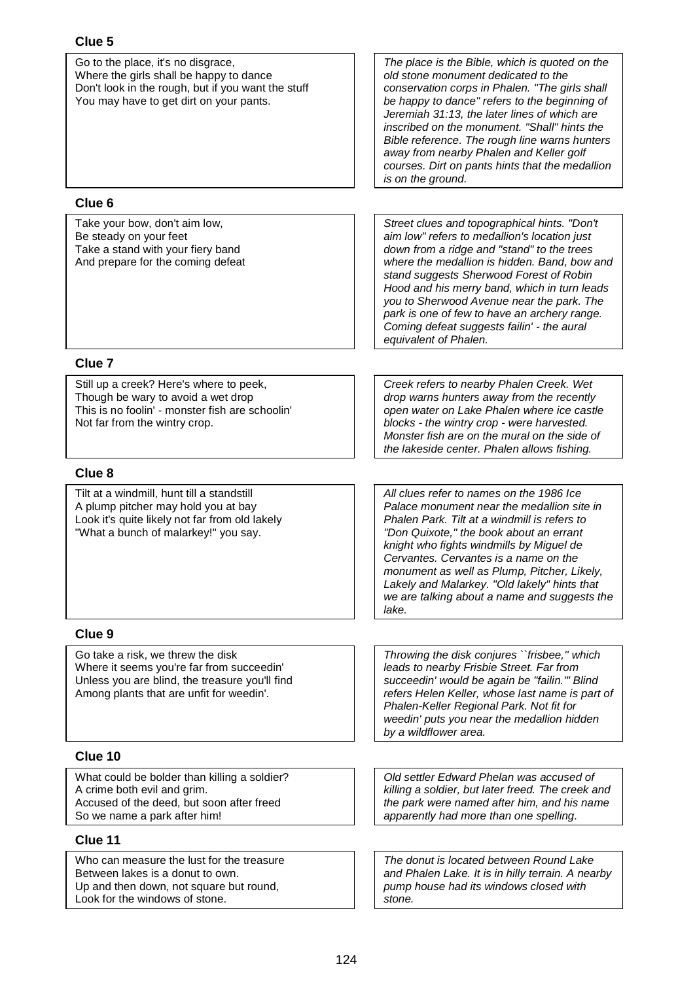| Go to the place, it's no disgrace,<br>Where the girls shall be happy to dance<br>Don't look in the rough, but if you want the stuff<br>You may have to get dirt on your pants. | The place is the Bible, which is quoted on the<br>old stone monument dedicated to the<br>conservation corps in Phalen. "The girls shall<br>be happy to dance" refers to the beginning of<br>Jeremiah 31:13, the later lines of which are<br>inscribed on the monument. "Shall" hints the<br>Bible reference. The rough line warns hunters<br>away from nearby Phalen and Keller golf<br>courses. Dirt on pants hints that the medallion<br>is on the ground. |
|--------------------------------------------------------------------------------------------------------------------------------------------------------------------------------|--------------------------------------------------------------------------------------------------------------------------------------------------------------------------------------------------------------------------------------------------------------------------------------------------------------------------------------------------------------------------------------------------------------------------------------------------------------|
| Clue <sub>6</sub>                                                                                                                                                              |                                                                                                                                                                                                                                                                                                                                                                                                                                                              |
| Take your bow, don't aim low,<br>Be steady on your feet<br>Take a stand with your fiery band<br>And prepare for the coming defeat                                              | Street clues and topographical hints. "Don't<br>aim low" refers to medallion's location just<br>down from a ridge and "stand" to the trees<br>where the medallion is hidden. Band, bow and<br>stand suggests Sherwood Forest of Robin<br>Hood and his merry band, which in turn leads<br>you to Sherwood Avenue near the park. The<br>park is one of few to have an archery range.<br>Coming defeat suggests failin' - the aural<br>equivalent of Phalen.    |
| Clue <sub>7</sub>                                                                                                                                                              |                                                                                                                                                                                                                                                                                                                                                                                                                                                              |
| Still up a creek? Here's where to peek,<br>Though be wary to avoid a wet drop<br>This is no foolin' - monster fish are schoolin'<br>Not far from the wintry crop.              | Creek refers to nearby Phalen Creek. Wet<br>drop warns hunters away from the recently<br>open water on Lake Phalen where ice castle<br>blocks - the wintry crop - were harvested.<br>Monster fish are on the mural on the side of<br>the lakeside center. Phalen allows fishing.                                                                                                                                                                             |
| Clue <sub>8</sub>                                                                                                                                                              |                                                                                                                                                                                                                                                                                                                                                                                                                                                              |
| Tilt at a windmill, hunt till a standstill<br>A plump pitcher may hold you at bay<br>Look it's quite likely not far from old lakely<br>"What a bunch of malarkey!" you say.    | All clues refer to names on the 1986 Ice<br>Palace monument near the medallion site in<br>Phalen Park. Tilt at a windmill is refers to<br>"Don Quixote," the book about an errant<br>knight who fights windmills by Miguel de<br>Cervantes. Cervantes is a name on the<br>monument as well as Plump, Pitcher, Likely,<br>Lakely and Malarkey. "Old lakely" hints that<br>we are talking about a name and suggests the<br>lake.                               |
| Clue 9                                                                                                                                                                         |                                                                                                                                                                                                                                                                                                                                                                                                                                                              |
| Go take a risk, we threw the disk<br>Where it seems you're far from succeedin'<br>Unless you are blind, the treasure you'll find<br>Among plants that are unfit for weedin'.   | Throwing the disk conjures ``frisbee," which<br>leads to nearby Frisbie Street. Far from<br>succeedin' would be again be "failin."" Blind<br>refers Helen Keller, whose last name is part of<br>Phalen-Keller Regional Park. Not fit for<br>weedin' puts you near the medallion hidden<br>by a wildflower area.                                                                                                                                              |
| Clue 10                                                                                                                                                                        |                                                                                                                                                                                                                                                                                                                                                                                                                                                              |
| What could be bolder than killing a soldier?<br>A crime both evil and grim.<br>Accused of the deed, but soon after freed<br>So we name a park after him!                       | Old settler Edward Phelan was accused of<br>killing a soldier, but later freed. The creek and<br>the park were named after him, and his name<br>apparently had more than one spelling.                                                                                                                                                                                                                                                                       |
| Clue 11                                                                                                                                                                        |                                                                                                                                                                                                                                                                                                                                                                                                                                                              |
| Who can measure the lust for the treasure<br>Between lakes is a donut to own.<br>Up and then down, not square but round,<br>Look for the windows of stone.                     | The donut is located between Round Lake<br>and Phalen Lake. It is in hilly terrain. A nearby<br>pump house had its windows closed with<br>stone.                                                                                                                                                                                                                                                                                                             |